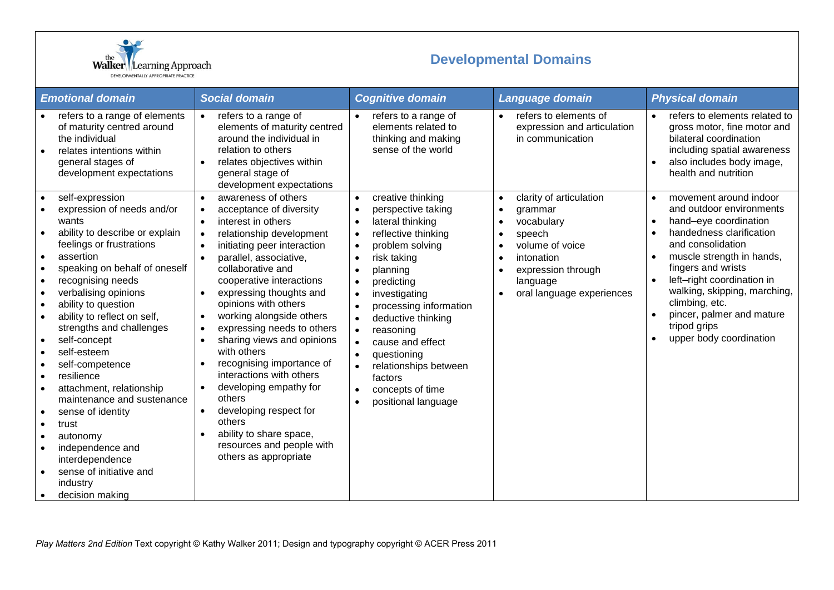

## **Developmental Domains**

| <b>Emotional domain</b>                                                                                                                                                                                                                                                                                                                                                                                                                                                                                                                                                                                                                                                                                       | <b>Social domain</b>                                                                                                                                                                                                                                                                                                                                                                                                                                                                                                                                                                                                                                                                                                                               | <b>Cognitive domain</b>                                                                                                                                                                                                                                                                                                                                                                                                                                                                                                                                                     | Language domain                                                                                                                                                                                                             | <b>Physical domain</b>                                                                                                                                                                                                                                                                                                                                                         |
|---------------------------------------------------------------------------------------------------------------------------------------------------------------------------------------------------------------------------------------------------------------------------------------------------------------------------------------------------------------------------------------------------------------------------------------------------------------------------------------------------------------------------------------------------------------------------------------------------------------------------------------------------------------------------------------------------------------|----------------------------------------------------------------------------------------------------------------------------------------------------------------------------------------------------------------------------------------------------------------------------------------------------------------------------------------------------------------------------------------------------------------------------------------------------------------------------------------------------------------------------------------------------------------------------------------------------------------------------------------------------------------------------------------------------------------------------------------------------|-----------------------------------------------------------------------------------------------------------------------------------------------------------------------------------------------------------------------------------------------------------------------------------------------------------------------------------------------------------------------------------------------------------------------------------------------------------------------------------------------------------------------------------------------------------------------------|-----------------------------------------------------------------------------------------------------------------------------------------------------------------------------------------------------------------------------|--------------------------------------------------------------------------------------------------------------------------------------------------------------------------------------------------------------------------------------------------------------------------------------------------------------------------------------------------------------------------------|
| refers to a range of elements<br>of maturity centred around<br>the individual<br>relates intentions within<br>$\bullet$<br>general stages of<br>development expectations                                                                                                                                                                                                                                                                                                                                                                                                                                                                                                                                      | refers to a range of<br>$\bullet$<br>elements of maturity centred<br>around the individual in<br>relation to others<br>relates objectives within<br>$\bullet$<br>general stage of<br>development expectations                                                                                                                                                                                                                                                                                                                                                                                                                                                                                                                                      | refers to a range of<br>elements related to<br>thinking and making<br>sense of the world                                                                                                                                                                                                                                                                                                                                                                                                                                                                                    | refers to elements of<br>expression and articulation<br>in communication                                                                                                                                                    | refers to elements related to<br>gross motor, fine motor and<br>bilateral coordination<br>including spatial awareness<br>also includes body image,<br>health and nutrition                                                                                                                                                                                                     |
| self-expression<br>expression of needs and/or<br>wants<br>ability to describe or explain<br>feelings or frustrations<br>assertion<br>$\bullet$<br>speaking on behalf of oneself<br>$\bullet$<br>recognising needs<br>$\bullet$<br>verbalising opinions<br>$\bullet$<br>ability to question<br>$\bullet$<br>ability to reflect on self,<br>$\bullet$<br>strengths and challenges<br>self-concept<br>self-esteem<br>$\bullet$<br>self-competence<br>resilience<br>attachment, relationship<br>$\bullet$<br>maintenance and sustenance<br>sense of identity<br>$\bullet$<br>trust<br>$\bullet$<br>autonomy<br>٠<br>independence and<br>interdependence<br>sense of initiative and<br>industry<br>decision making | awareness of others<br>$\bullet$<br>acceptance of diversity<br>$\bullet$<br>interest in others<br>$\bullet$<br>relationship development<br>$\bullet$<br>initiating peer interaction<br>$\bullet$<br>parallel, associative,<br>$\bullet$<br>collaborative and<br>cooperative interactions<br>expressing thoughts and<br>$\bullet$<br>opinions with others<br>working alongside others<br>$\bullet$<br>expressing needs to others<br>$\bullet$<br>sharing views and opinions<br>$\bullet$<br>with others<br>recognising importance of<br>interactions with others<br>developing empathy for<br>others<br>developing respect for<br>$\bullet$<br>others<br>ability to share space,<br>$\bullet$<br>resources and people with<br>others as appropriate | creative thinking<br>$\bullet$<br>perspective taking<br>$\bullet$<br>lateral thinking<br>$\bullet$<br>reflective thinking<br>$\bullet$<br>problem solving<br>$\bullet$<br>risk taking<br>$\bullet$<br>planning<br>$\bullet$<br>predicting<br>$\bullet$<br>investigating<br>$\bullet$<br>processing information<br>$\bullet$<br>deductive thinking<br>$\bullet$<br>reasoning<br>$\bullet$<br>cause and effect<br>$\bullet$<br>questioning<br>$\bullet$<br>relationships between<br>$\bullet$<br>factors<br>concepts of time<br>$\bullet$<br>positional language<br>$\bullet$ | clarity of articulation<br>$\bullet$<br>grammar<br>$\bullet$<br>vocabulary<br>$\bullet$<br>speech<br>$\bullet$<br>volume of voice<br>intonation<br>expression through<br>language<br>oral language experiences<br>$\bullet$ | movement around indoor<br>$\bullet$<br>and outdoor environments<br>hand-eye coordination<br>$\bullet$<br>handedness clarification<br>$\bullet$<br>and consolidation<br>muscle strength in hands,<br>fingers and wrists<br>left-right coordination in<br>walking, skipping, marching,<br>climbing, etc.<br>pincer, palmer and mature<br>tripod grips<br>upper body coordination |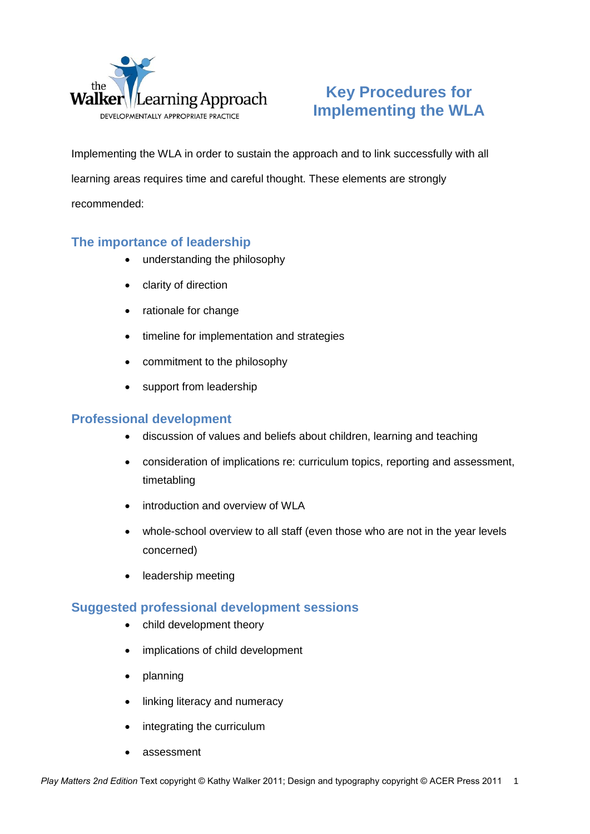

# **Key Procedures for Implementing the WLA**

Implementing the WLA in order to sustain the approach and to link successfully with all learning areas requires time and careful thought. These elements are strongly recommended:

### **The importance of leadership**

- understanding the philosophy
- clarity of direction
- rationale for change
- timeline for implementation and strategies
- commitment to the philosophy
- support from leadership

### **Professional development**

- discussion of values and beliefs about children, learning and teaching
- consideration of implications re: curriculum topics, reporting and assessment, timetabling
- introduction and overview of WLA
- whole-school overview to all staff (even those who are not in the year levels concerned)
- leadership meeting

### **Suggested professional development sessions**

- child development theory
- implications of child development
- planning
- linking literacy and numeracy
- integrating the curriculum
- assessment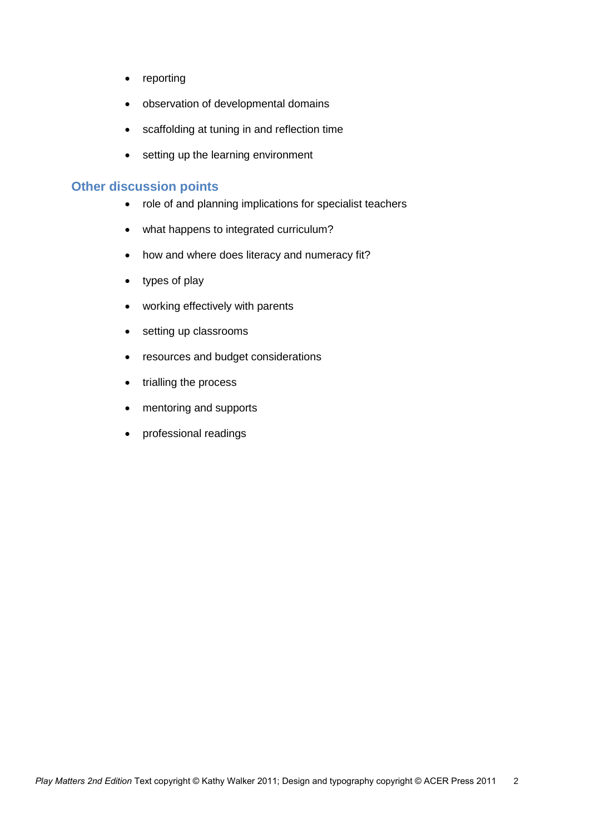- reporting
- observation of developmental domains
- scaffolding at tuning in and reflection time
- setting up the learning environment

### **Other discussion points**

- role of and planning implications for specialist teachers
- what happens to integrated curriculum?
- how and where does literacy and numeracy fit?
- types of play
- working effectively with parents
- setting up classrooms
- resources and budget considerations
- trialling the process
- mentoring and supports
- professional readings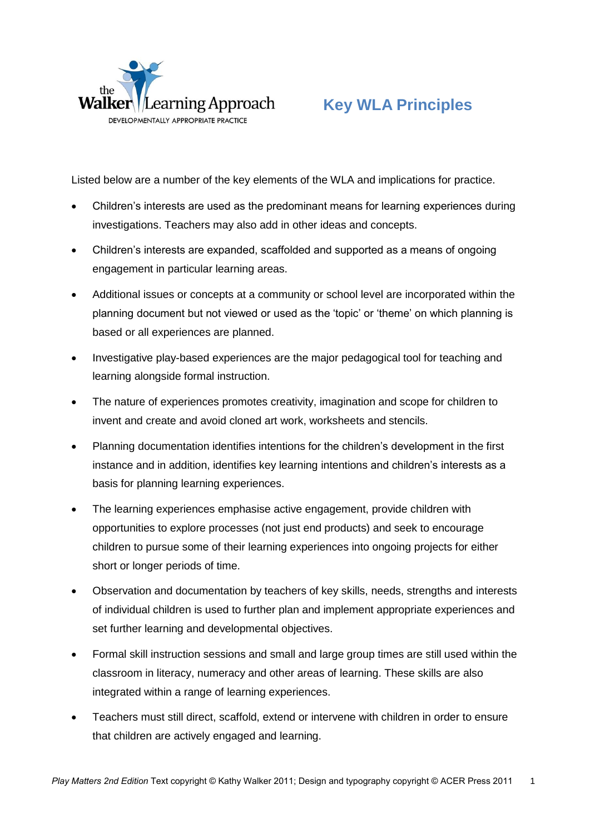

# **Key WLA Principles**

Listed below are a number of the key elements of the WLA and implications for practice.

- Children's interests are used as the predominant means for learning experiences during investigations. Teachers may also add in other ideas and concepts.
- Children's interests are expanded, scaffolded and supported as a means of ongoing engagement in particular learning areas.
- Additional issues or concepts at a community or school level are incorporated within the planning document but not viewed or used as the 'topic' or 'theme' on which planning is based or all experiences are planned.
- Investigative play-based experiences are the major pedagogical tool for teaching and learning alongside formal instruction.
- The nature of experiences promotes creativity, imagination and scope for children to invent and create and avoid cloned art work, worksheets and stencils.
- Planning documentation identifies intentions for the children's development in the first instance and in addition, identifies key learning intentions and children's interests as a basis for planning learning experiences.
- The learning experiences emphasise active engagement, provide children with opportunities to explore processes (not just end products) and seek to encourage children to pursue some of their learning experiences into ongoing projects for either short or longer periods of time.
- Observation and documentation by teachers of key skills, needs, strengths and interests of individual children is used to further plan and implement appropriate experiences and set further learning and developmental objectives.
- Formal skill instruction sessions and small and large group times are still used within the classroom in literacy, numeracy and other areas of learning. These skills are also integrated within a range of learning experiences.
- Teachers must still direct, scaffold, extend or intervene with children in order to ensure that children are actively engaged and learning.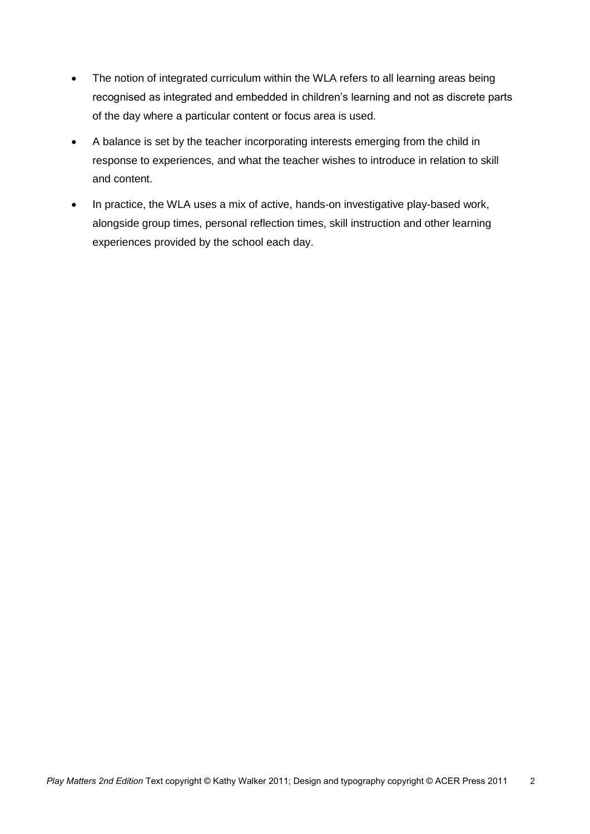- The notion of integrated curriculum within the WLA refers to all learning areas being recognised as integrated and embedded in children's learning and not as discrete parts of the day where a particular content or focus area is used.
- A balance is set by the teacher incorporating interests emerging from the child in response to experiences, and what the teacher wishes to introduce in relation to skill and content.
- In practice, the WLA uses a mix of active, hands-on investigative play-based work, alongside group times, personal reflection times, skill instruction and other learning experiences provided by the school each day.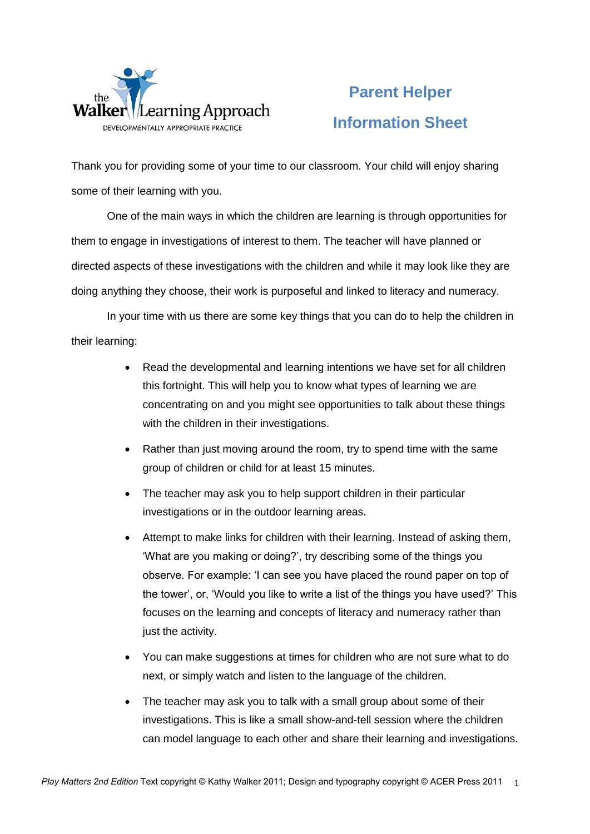

# **Parent Helper Information Sheet**

Thank you for providing some of your time to our classroom. Your child will enjoy sharing some of their learning with you.

One of the main ways in which the children are learning is through opportunities for them to engage in investigations of interest to them. The teacher will have planned or directed aspects of these investigations with the children and while it may look like they are doing anything they choose, their work is purposeful and linked to literacy and numeracy.

In your time with us there are some key things that you can do to help the children in their learning:

- Read the developmental and learning intentions we have set for all children this fortnight. This will help you to know what types of learning we are concentrating on and you might see opportunities to talk about these things with the children in their investigations.
- Rather than just moving around the room, try to spend time with the same group of children or child for at least 15 minutes.
- The teacher may ask you to help support children in their particular investigations or in the outdoor learning areas.
- Attempt to make links for children with their learning. Instead of asking them, 'What are you making or doing?', try describing some of the things you observe. For example: 'I can see you have placed the round paper on top of the tower', or, 'Would you like to write a list of the things you have used?' This focuses on the learning and concepts of literacy and numeracy rather than just the activity.
- You can make suggestions at times for children who are not sure what to do next, or simply watch and listen to the language of the children.
- The teacher may ask you to talk with a small group about some of their investigations. This is like a small show-and-tell session where the children can model language to each other and share their learning and investigations.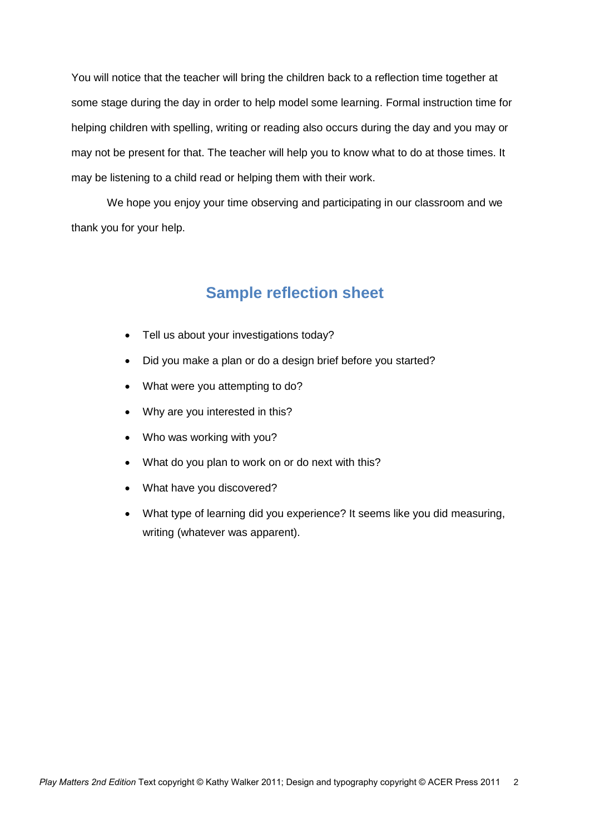You will notice that the teacher will bring the children back to a reflection time together at some stage during the day in order to help model some learning. Formal instruction time for helping children with spelling, writing or reading also occurs during the day and you may or may not be present for that. The teacher will help you to know what to do at those times. It may be listening to a child read or helping them with their work.

We hope you enjoy your time observing and participating in our classroom and we thank you for your help.

## **Sample reflection sheet**

- Tell us about your investigations today?
- Did you make a plan or do a design brief before you started?
- What were you attempting to do?
- Why are you interested in this?
- Who was working with you?
- What do you plan to work on or do next with this?
- What have you discovered?
- What type of learning did you experience? It seems like you did measuring, writing (whatever was apparent).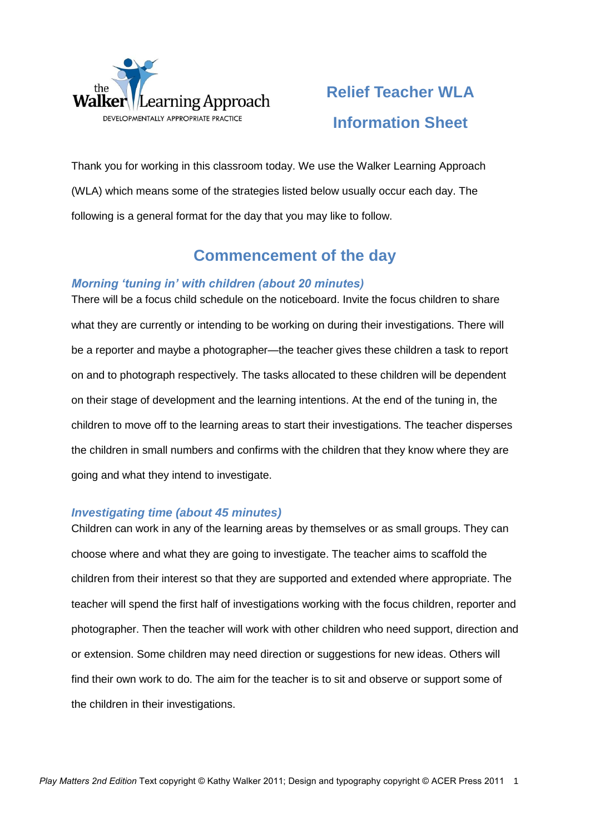

# **Relief Teacher WLA Information Sheet**

Thank you for working in this classroom today. We use the Walker Learning Approach (WLA) which means some of the strategies listed below usually occur each day. The following is a general format for the day that you may like to follow.

# **Commencement of the day**

### *Morning 'tuning in' with children (about 20 minutes)*

There will be a focus child schedule on the noticeboard. Invite the focus children to share what they are currently or intending to be working on during their investigations. There will be a reporter and maybe a photographer—the teacher gives these children a task to report on and to photograph respectively. The tasks allocated to these children will be dependent on their stage of development and the learning intentions. At the end of the tuning in, the children to move off to the learning areas to start their investigations. The teacher disperses the children in small numbers and confirms with the children that they know where they are going and what they intend to investigate.

#### *Investigating time (about 45 minutes)*

Children can work in any of the learning areas by themselves or as small groups. They can choose where and what they are going to investigate. The teacher aims to scaffold the children from their interest so that they are supported and extended where appropriate. The teacher will spend the first half of investigations working with the focus children, reporter and photographer. Then the teacher will work with other children who need support, direction and or extension. Some children may need direction or suggestions for new ideas. Others will find their own work to do. The aim for the teacher is to sit and observe or support some of the children in their investigations.